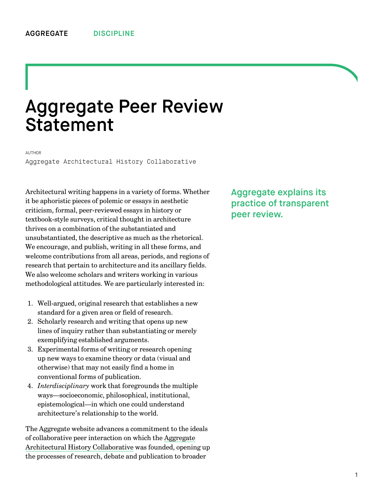## Aggregate Peer Review Statement

## AUTHOR

[Aggregate Architectural History Collaborative](http://we-aggregate.org/people/aggregate)

Architectural writing happens in a variety of forms. Whether it be aphoristic pieces of polemic or essays in aesthetic criticism, formal, peer-reviewed essays in history or textbook-style surveys, critical thought in architecture thrives on a combination of the substantiated and unsubstantiated, the descriptive as much as the rhetorical. We encourage, and publish, writing in all these forms, and welcome contributions from all areas, periods, and regions of research that pertain to architecture and its ancillary fields. We also welcome scholars and writers working in various methodological attitudes. We are particularly interested in:

- 1. Well-argued, original research that establishes a new standard for a given area or field of research.
- 2. Scholarly research and writing that opens up new lines of inquiry rather than substantiating or merely exemplifying established arguments.
- 3. Experimental forms of writing or research opening up new ways to examine theory or data (visual and otherwise) that may not easily find a home in conventional forms of publication.
- 4. *Interdisciplinary* work that foregrounds the multiple ways—socioeconomic, philosophical, institutional, epistemological—in which one could understand architecture's relationship to the world.

The Aggregate website advances a commitment to the ideals of collaborative peer interaction on which the Aggregate [Architectural History Collaborative was founded, openin](http://we-aggregate.org/about/group)g up the processes of research, debate and publication to broader

Aggregate explains its practice of transparent peer review.